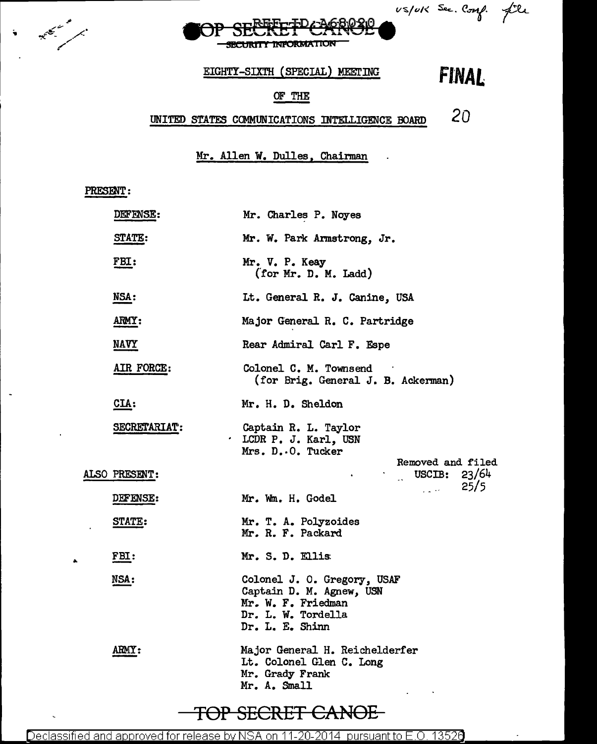US/UK Sec. Comp. file **Article 10 BCURITY INFORMATION** EIGHTY-SIXTH (SPECIAL) MEETING **FJ:NAl**  OF THE

# UNITED STATES COMMUNICATIONS INTELLIGENCE BOARD *20*

l,

Mr. Allen W. Dulles, Chairman

#### PRESENT:

÷.

|  | DEFENSE:            | Mr. Charles P. Noyes                                                                                                                                  |
|--|---------------------|-------------------------------------------------------------------------------------------------------------------------------------------------------|
|  | STATE:              | Mr. W. Park Armstrong, Jr.                                                                                                                            |
|  | FBI:                | Mr. V. P. Keay<br>(for Mr. D. M. Ladd)                                                                                                                |
|  | NSA:                | Lt. General R. J. Canine, USA                                                                                                                         |
|  | ARMY:               | Major General R. C. Partridge                                                                                                                         |
|  | <u>NAVY</u>         | Rear Admiral Carl F. Espe                                                                                                                             |
|  | AIR FORCE:          | Colonel C. M. Townsend<br>(for Brig. General J. B. Ackerman)                                                                                          |
|  | CIA:                | Mr. H. D. Sheldon                                                                                                                                     |
|  | <b>SECRETARIAT:</b> | Captain R. L. Taylor<br>. LCDR P. J. Karl, USN<br>Mrs. D. O. Tucker                                                                                   |
|  | ALSO PRESENT:       | Removed and filed<br>$\frac{1}{2}$ USCIB: 23/64<br>$\sim 25/5$                                                                                        |
|  | <b>DEFENSE:</b>     | Mr. Wm. H. Godel                                                                                                                                      |
|  | <b>STATE:</b>       | Mr. T. A. Polyzoides<br>Mr. R. F. Packard                                                                                                             |
|  | FBI:                | Mr. S. D. Ellis                                                                                                                                       |
|  | NSA:                | Colonel J. O. Gregory, USAF<br>Captain D. M. Agnew, USN<br>Mr. W. F. Friedman<br>Dr. L. W. Tordella<br>Dr. L. E. Shinn                                |
|  | <b>ARMY :</b>       | Major General H. Reichelderfer<br>Lt. Colonel Glen C. Long<br>Mr. Grady Frank<br>Mr. A. Small<br>$\mathbf{z} = \mathbf{z} \times \mathbf{z}$ . We set |
|  |                     |                                                                                                                                                       |

# TOP SECRET CANOE

Declassified and approved for release by NSA on 11-20-2014 pursuant to E.O. 13526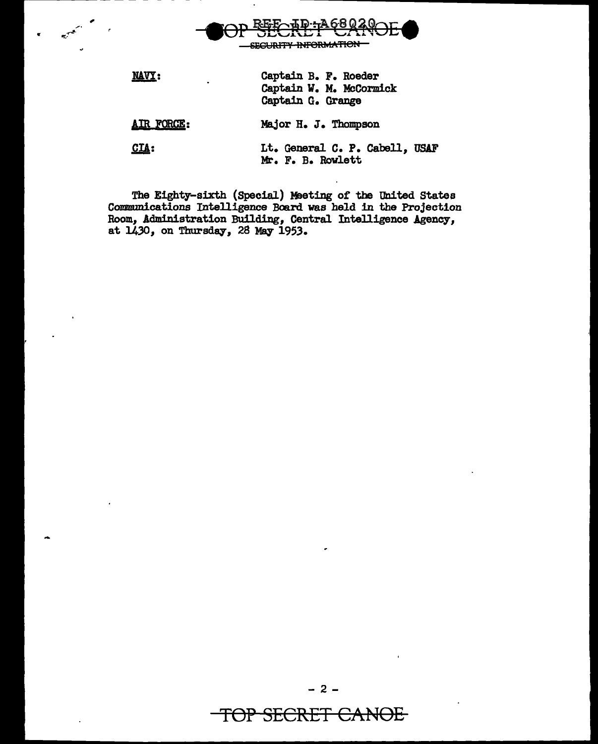

,

"

The Eighty-sixth (Special) Meeting of the United States Communications Intelligence Board was held in the Projection Room, Administration Building, Central Intelligence Agency, at  $1430$ , on Thursday, 28 May 1953.

TOP SECRET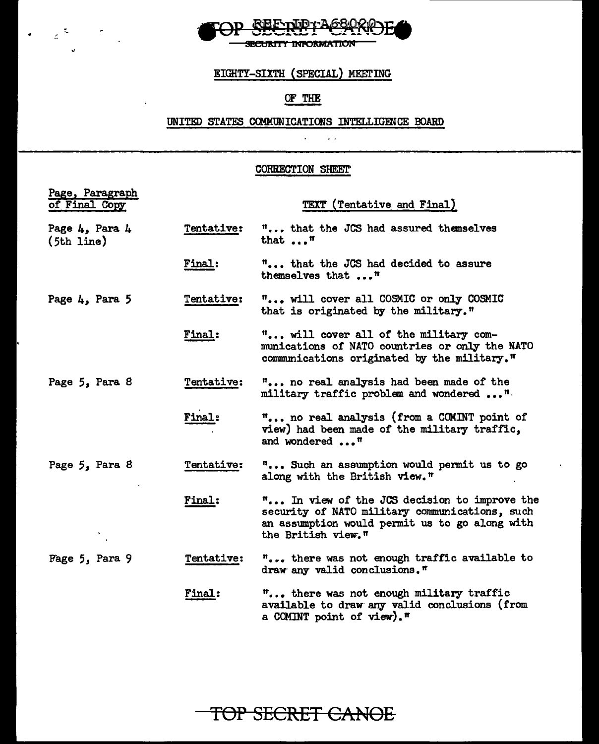

 $\label{eq:2} \mathcal{L}=\mathcal{L}^{\frac{1}{2}}\mathcal{L}^{\frac{1}{2}}\mathcal{L}^{\frac{1}{2}}\mathcal{L}^{\frac{1}{2}}\mathcal{L}^{\frac{1}{2}}\mathcal{L}^{\frac{1}{2}}\mathcal{L}^{\frac{1}{2}}\mathcal{L}^{\frac{1}{2}}\mathcal{L}^{\frac{1}{2}}\mathcal{L}^{\frac{1}{2}}\mathcal{L}^{\frac{1}{2}}\mathcal{L}^{\frac{1}{2}}\mathcal{L}^{\frac{1}{2}}\mathcal{L}^{\frac{1}{2}}\mathcal{L}^{\frac{1$ 

 $\bullet$ 

## EIGHTY-SIXTH (SPECIAL) MEETING

## OF THE

### UNITED STATES COMMUNICATIONS INTELLIGENCE BOARD  $\mathcal{L}^{\text{max}}$

 $\sim$   $\sim$ 

#### CORRECTION SHEET'

| Page, Paragraph<br>of Final Copy |                   | TEXT (Tentative and Final)                                                                                                                                             |
|----------------------------------|-------------------|------------------------------------------------------------------------------------------------------------------------------------------------------------------------|
| Page 4, Para 4<br>$(5th$ line)   | <b>Tentative:</b> | " that the JCS had assured themselves<br>that $\ldots$ <sup><math>\mathfrak{m}</math></sup>                                                                            |
|                                  | <b>Final:</b>     | " that the JCS had decided to assure<br>themselves that "                                                                                                              |
| Page $4$ , Para 5                | Tentative:        | " will cover all COSMIC or only COSMIC<br>that is originated by the military."                                                                                         |
|                                  | <b>Final:</b>     | " will cover all of the military com-<br>munications of NATO countries or only the NATO<br>communications originated by the military."                                 |
| Page 5, Para 8                   | Tentative:        | " no real analysis had been made of the<br>military traffic problem and wondered "                                                                                     |
|                                  | <b>Final:</b>     | " no real analysis (from a COMINT point of<br>view) had been made of the military traffic,<br>and wondered "                                                           |
| Page 5, Para 8                   | <b>Tentative:</b> | " Such an assumption would permit us to go<br>along with the British view."                                                                                            |
|                                  | Final:            | " In view of the JCS decision to improve the<br>security of NATO military communications, such<br>an assumption would permit us to go along with<br>the British view." |
| Page 5, Para 9                   | Tentative:        | " there was not enough traffic available to<br>draw any valid conclusions."                                                                                            |
|                                  | Final:            | " there was not enough military traffic<br>available to draw any valid conclusions (from<br>a COMINT point of view)."                                                  |

**TOP SECRET CANOE**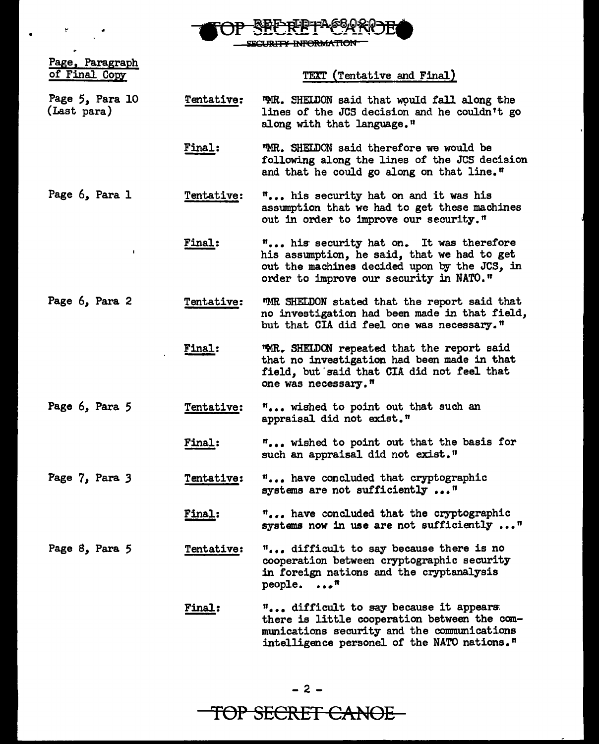

SECURITY INFORMATION

 $\begin{array}{l} \bullet \\ \bullet \end{array} \qquad \qquad \begin{array}{l} \bullet \\ \bullet \end{array} \qquad \qquad \begin{array}{l} \bullet \\ \bullet \end{array} \qquad \qquad \begin{array}{l} \bullet \\ \bullet \end{array} \qquad \qquad \begin{array}{l} \bullet \\ \bullet \end{array} \qquad \qquad \begin{array}{l} \bullet \\ \bullet \end{array} \qquad \qquad \begin{array}{l} \bullet \\ \bullet \end{array} \qquad \qquad \begin{array}{l} \bullet \\ \bullet \end{array} \qquad \qquad \begin{array}{l} \bullet \\ \bullet \end{array} \qquad \qquad \begin{array}{l} \bullet \\ \bullet \$ 

| Page, Paragraph<br>of Final Copy |                   | TEXT (Tentative and Final)                                                                                                                                                        |
|----------------------------------|-------------------|-----------------------------------------------------------------------------------------------------------------------------------------------------------------------------------|
| Page 5, Para 10<br>(Last para)   | Tentative:        | TMR. SHELDON said that would fall along the<br>lines of the JCS decision and he couldn't go<br>along with that language."                                                         |
|                                  | Final:            | "MR. SHELDON said therefore we would be<br>following along the lines of the JCS decision<br>and that he could go along on that line."                                             |
| Page 6, Para 1                   | Tentative:        | " his security hat on and it was his<br>assumption that we had to get these machines<br>out in order to improve our security."                                                    |
|                                  | Final:            | " his security hat on. It was therefore<br>his assumption, he said, that we had to get<br>out the machines decided upon by the JCS, in<br>order to improve our security in NATO." |
| Page 6, Para 2                   | <b>Tentative:</b> | MMR SHELDON stated that the report said that<br>no investigation had been made in that field,<br>but that CIA did feel one was necessary."                                        |
|                                  | Final:            | "MR. SHELDON repeated that the report said<br>that no investigation had been made in that<br>field, but said that CIA did not feel that<br>one was necessary."                    |
| Page 6, Para 5                   | Tentative:        | " wished to point out that such an<br>appraisal did not exist."                                                                                                                   |
|                                  | <b>Final:</b>     | " wished to point out that the basis for<br>such an appraisal did not exist."                                                                                                     |
| Page 7, Para 3                   | <b>Tentative:</b> | " have concluded that cryptographic<br>systems are not sufficiently "                                                                                                             |
|                                  | Final:            | " have concluded that the cryptographic<br>systems now in use are not sufficiently "                                                                                              |
| Page 8, Para 5                   | Tentative:        | " difficult to say because there is no<br>cooperation between cryptographic security<br>in foreign nations and the cryptanalysis<br>people. "                                     |
|                                  | Final:            | " difficult to say because it appears<br>there is little cooperation between the com-<br>munications security and the communications                                              |

intelligence personel of the NATO nations."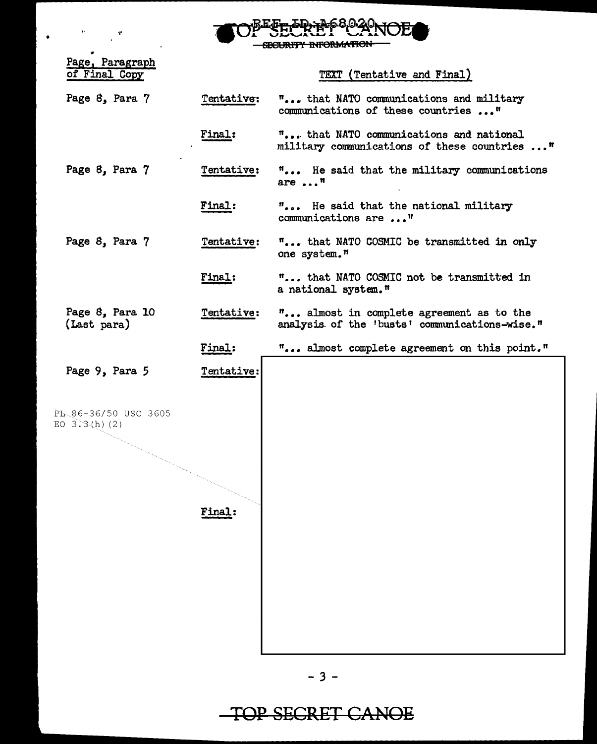| m.Jagrozo,<br>$-22$<br>SELKEI !                      |  |
|------------------------------------------------------|--|
| CROUDITY INFORMATION.<br><b>DECORTTI INTORNATION</b> |  |

|               | Page, Paragraph |
|---------------|-----------------|
| of Final Copy |                 |

 $\sim$ 

 $\bar{\psi}$ 

TEXT (Tentative and Final)

| Page 8, Para 7                          | Tentative:    | " that NATO communications and military<br>communications of these countries "            |
|-----------------------------------------|---------------|-------------------------------------------------------------------------------------------|
|                                         | <b>Final:</b> | " that NATO communications and national<br>military communications of these countries "   |
| Page 8, Para 7                          | Tentative:    | " He said that the military communications<br>are $\ldots$ <sup>n</sup>                   |
|                                         | Final:        | " He said that the national military<br>communications are "                              |
| Page 8, Para 7                          | Tentative:    | " that NATO COSMIC be transmitted in only<br>one system."                                 |
|                                         | Final:        | " that NATO COSMIC not be transmitted in<br>a national system."                           |
| Page 8, Para 10<br>(Last para)          | Tentative:    | " almost in complete agreement as to the<br>analysis of the 'busts' communications-wise." |
|                                         | Final:        | " almost complete agreement on this point."                                               |
| Page 9, Para 5                          | Tentative:    |                                                                                           |
| PL 86-36/50 USC 3605<br>EO $3.3(h)$ (2) | <b>Final:</b> |                                                                                           |

# TOP SECRET CANOE